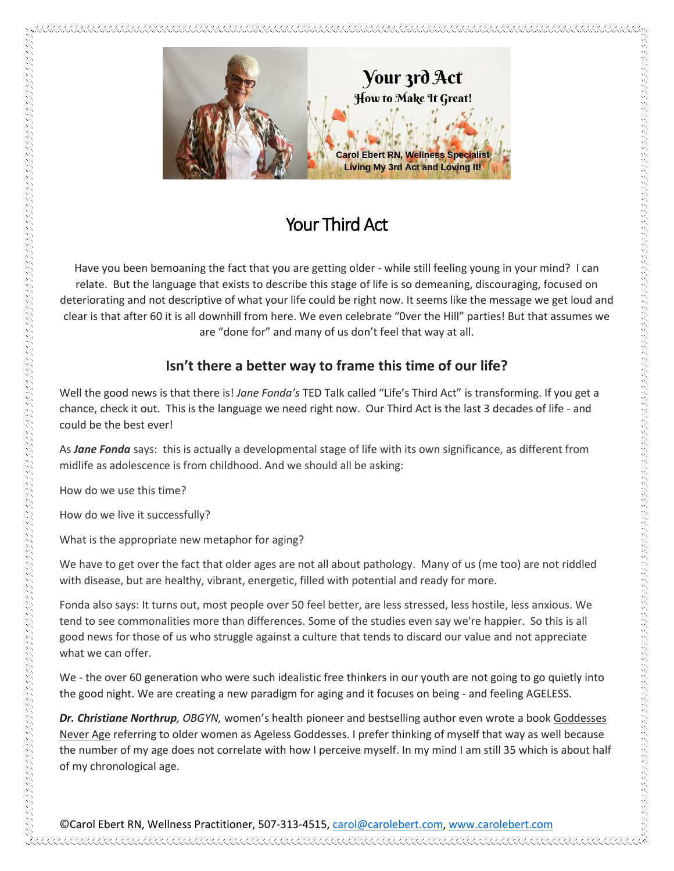

## Your Third Act

Have you been bemoaning the fact that you are getting older - while still feeling young in your mind? I can relate. But the language that exists to describe this stage of life is so demeaning, discouraging, focused on deteriorating and not descriptive of what your life could be right now. It seems like the message we get loud and clear is that after 60 it is all downhill from here. We even celebrate "0ver the Hill" parties! But that assumes we are "done for" and many of us don't feel that way at all.

## **Isn't there a better way to frame this time of our life?**

Well the good news is that there is! *Jane Fonda's* TED Talk called "Life's Third Act" is transforming. If you get a chance, check it out. This is the language we need right now. Our Third Act is the last 3 decades of life - and could be the best ever!

As *Jane Fonda* says: this is actually a developmental stage of life with its own significance, as different from midlife as adolescence is from childhood. And we should all be asking:

How do we use this time?

How do we live it successfully?

What is the appropriate new metaphor for aging?

We have to get over the fact that older ages are not all about pathology. Many of us (me too) are not riddled with disease, but are healthy, vibrant, energetic, filled with potential and ready for more.

Fonda also says: It turns out, most people over 50 feel better, are less stressed, less hostile, less anxious. We tend to see commonalities more than differences. Some of the studies even say we're happier. So this is all good news for those of us who struggle against a culture that tends to discard our value and not appreciate what we can offer.

We - the over 60 generation who were such idealistic free thinkers in our youth are not going to go quietly into the good night. We are creating a new paradigm for aging and it focuses on being - and feeling AGELESS.

*Dr. Christiane Northrup, OBGYN,* women's health pioneer and bestselling author even wrote a book Goddesses Never Age referring to older women as Ageless Goddesses. I prefer thinking of myself that way as well because the number of my age does not correlate with how I perceive myself. In my mind I am still 35 which is about half of my chronological age.